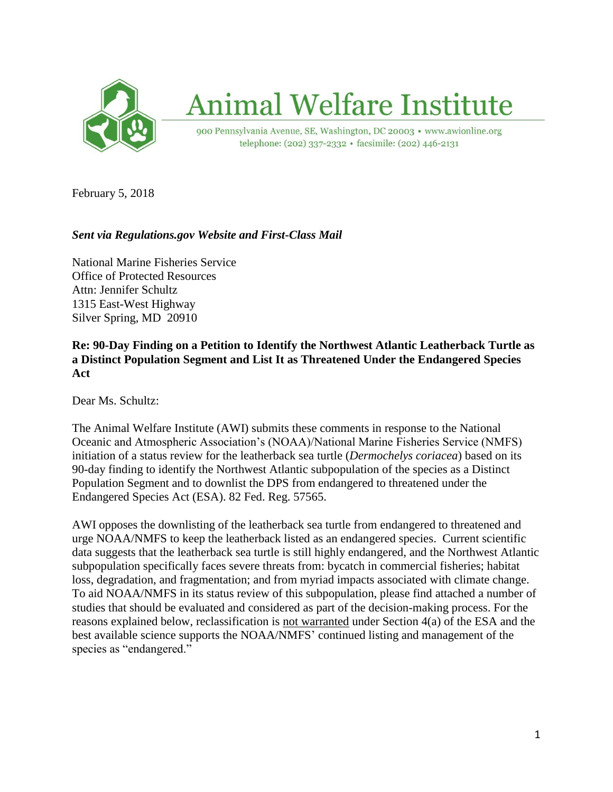

# **Animal Welfare Institute**

900 Pennsylvania Avenue, SE, Washington, DC 20003 · www.awionline.org telephone: (202) 337-2332 · facsimile: (202) 446-2131

February 5, 2018

# *Sent via Regulations.gov Website and First-Class Mail*

National Marine Fisheries Service Office of Protected Resources Attn: Jennifer Schultz 1315 East-West Highway Silver Spring, MD 20910

#### **Re: 90-Day Finding on a Petition to Identify the Northwest Atlantic Leatherback Turtle as a Distinct Population Segment and List It as Threatened Under the Endangered Species Act**

Dear Ms. Schultz:

The Animal Welfare Institute (AWI) submits these comments in response to the National Oceanic and Atmospheric Association's (NOAA)/National Marine Fisheries Service (NMFS) initiation of a status review for the leatherback sea turtle (*Dermochelys coriacea*) based on its 90-day finding to identify the Northwest Atlantic subpopulation of the species as a Distinct Population Segment and to downlist the DPS from endangered to threatened under the Endangered Species Act (ESA). 82 Fed. Reg. 57565.

AWI opposes the downlisting of the leatherback sea turtle from endangered to threatened and urge NOAA/NMFS to keep the leatherback listed as an endangered species. Current scientific data suggests that the leatherback sea turtle is still highly endangered, and the Northwest Atlantic subpopulation specifically faces severe threats from: bycatch in commercial fisheries; habitat loss, degradation, and fragmentation; and from myriad impacts associated with climate change. To aid NOAA/NMFS in its status review of this subpopulation, please find attached a number of studies that should be evaluated and considered as part of the decision-making process. For the reasons explained below, reclassification is not warranted under Section 4(a) of the ESA and the best available science supports the NOAA/NMFS' continued listing and management of the species as "endangered."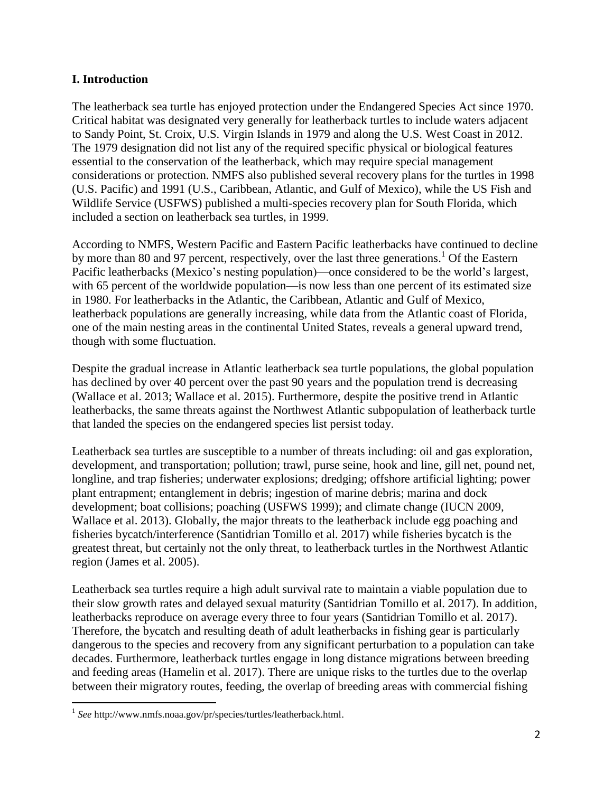#### **I. Introduction**

The leatherback sea turtle has enjoyed protection under the Endangered Species Act since 1970. Critical habitat was designated very generally for leatherback turtles to include waters adjacent to Sandy Point, St. Croix, U.S. Virgin Islands in 1979 and along the U.S. West Coast in 2012. The 1979 designation did not list any of the required specific physical or biological features essential to the conservation of the leatherback, which may require special management considerations or protection. NMFS also published several recovery plans for the turtles in 1998 (U.S. Pacific) and 1991 (U.S., Caribbean, Atlantic, and Gulf of Mexico), while the US Fish and Wildlife Service (USFWS) published a multi-species recovery plan for South Florida, which included a section on leatherback sea turtles, in 1999.

According to NMFS, Western Pacific and Eastern Pacific leatherbacks have continued to decline by more than 80 and 97 percent, respectively, over the last three generations.<sup>1</sup> Of the Eastern Pacific leatherbacks (Mexico's nesting population)—once considered to be the world's largest, with 65 percent of the worldwide population—is now less than one percent of its estimated size in 1980. For leatherbacks in the Atlantic, the Caribbean, Atlantic and Gulf of Mexico, leatherback populations are generally increasing, while data from the Atlantic coast of Florida, one of the main nesting areas in the continental United States, reveals a general upward trend, though with some fluctuation.

Despite the gradual increase in Atlantic leatherback sea turtle populations, the global population has declined by over 40 percent over the past 90 years and the population trend is decreasing (Wallace et al. 2013; Wallace et al. 2015). Furthermore, despite the positive trend in Atlantic leatherbacks, the same threats against the Northwest Atlantic subpopulation of leatherback turtle that landed the species on the endangered species list persist today.

Leatherback sea turtles are susceptible to a number of threats including: oil and gas exploration, development, and transportation; pollution; trawl, purse seine, hook and line, gill net, pound net, longline, and trap fisheries; underwater explosions; dredging; offshore artificial lighting; power plant entrapment; entanglement in debris; ingestion of marine debris; marina and dock development; boat collisions; poaching (USFWS 1999); and climate change (IUCN 2009, Wallace et al. 2013). Globally, the major threats to the leatherback include egg poaching and fisheries bycatch/interference (Santidrian Tomillo et al. 2017) while fisheries bycatch is the greatest threat, but certainly not the only threat, to leatherback turtles in the Northwest Atlantic region (James et al. 2005).

Leatherback sea turtles require a high adult survival rate to maintain a viable population due to their slow growth rates and delayed sexual maturity (Santidrian Tomillo et al. 2017). In addition, leatherbacks reproduce on average every three to four years (Santidrian Tomillo et al. 2017). Therefore, the bycatch and resulting death of adult leatherbacks in fishing gear is particularly dangerous to the species and recovery from any significant perturbation to a population can take decades. Furthermore, leatherback turtles engage in long distance migrations between breeding and feeding areas (Hamelin et al. 2017). There are unique risks to the turtles due to the overlap between their migratory routes, feeding, the overlap of breeding areas with commercial fishing

 $\overline{a}$ <sup>1</sup> See http://www.nmfs.noaa.gov/pr/species/turtles/leatherback.html.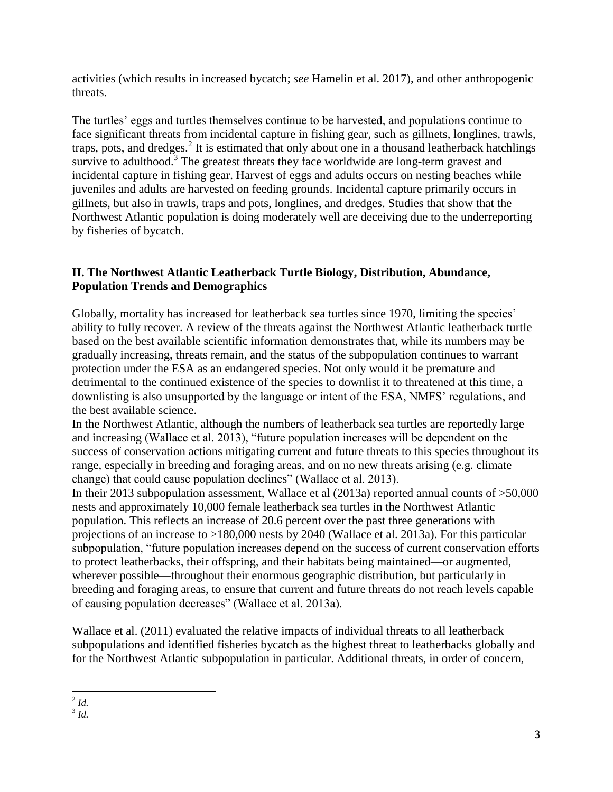activities (which results in increased bycatch; *see* Hamelin et al. 2017), and other anthropogenic threats.

The turtles' eggs and turtles themselves continue to be harvested, and populations continue to face significant threats from incidental capture in fishing gear, such as gillnets, longlines, trawls, traps, pots, and dredges.<sup>2</sup> It is estimated that only about one in a thousand leatherback hatchlings survive to adulthood.<sup>3</sup> The greatest threats they face worldwide are long-term gravest and incidental capture in fishing gear. Harvest of eggs and adults occurs on nesting beaches while juveniles and adults are harvested on feeding grounds. Incidental capture primarily occurs in gillnets, but also in trawls, traps and pots, longlines, and dredges. Studies that show that the Northwest Atlantic population is doing moderately well are deceiving due to the underreporting by fisheries of bycatch.

# **II. The Northwest Atlantic Leatherback Turtle Biology, Distribution, Abundance, Population Trends and Demographics**

Globally, mortality has increased for leatherback sea turtles since 1970, limiting the species' ability to fully recover. A review of the threats against the Northwest Atlantic leatherback turtle based on the best available scientific information demonstrates that, while its numbers may be gradually increasing, threats remain, and the status of the subpopulation continues to warrant protection under the ESA as an endangered species. Not only would it be premature and detrimental to the continued existence of the species to downlist it to threatened at this time, a downlisting is also unsupported by the language or intent of the ESA, NMFS' regulations, and the best available science.

In the Northwest Atlantic, although the numbers of leatherback sea turtles are reportedly large and increasing (Wallace et al. 2013), "future population increases will be dependent on the success of conservation actions mitigating current and future threats to this species throughout its range, especially in breeding and foraging areas, and on no new threats arising (e.g. climate change) that could cause population declines" (Wallace et al. 2013).

In their 2013 subpopulation assessment, Wallace et al (2013a) reported annual counts of >50,000 nests and approximately 10,000 female leatherback sea turtles in the Northwest Atlantic population. This reflects an increase of 20.6 percent over the past three generations with projections of an increase to >180,000 nests by 2040 (Wallace et al. 2013a). For this particular subpopulation, "future population increases depend on the success of current conservation efforts to protect leatherbacks, their offspring, and their habitats being maintained—or augmented, wherever possible—throughout their enormous geographic distribution, but particularly in breeding and foraging areas, to ensure that current and future threats do not reach levels capable of causing population decreases" (Wallace et al. 2013a).

Wallace et al. (2011) evaluated the relative impacts of individual threats to all leatherback subpopulations and identified fisheries bycatch as the highest threat to leatherbacks globally and for the Northwest Atlantic subpopulation in particular. Additional threats, in order of concern,

 $\frac{2}{l}$ *[Id.](http://www.nmfs.noaa.gov/pr/species/turtles/leatherback.html)* 

<sup>3</sup> *[Id.](http://www.nmfs.noaa.gov/pr/species/turtles/leatherback.html)*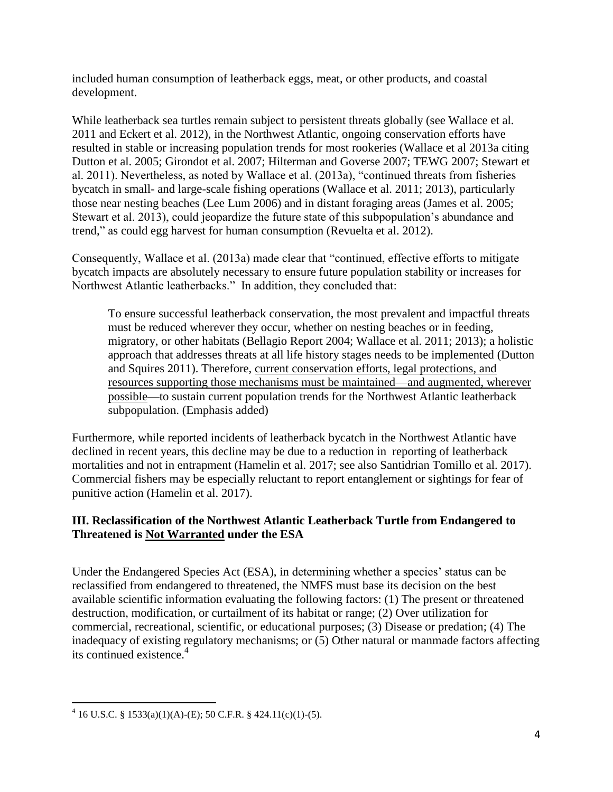included human consumption of leatherback eggs, meat, or other products, and coastal development.

While leatherback sea turtles remain subject to persistent threats globally (see Wallace et al. 2011 and Eckert et al. 2012), in the Northwest Atlantic, ongoing conservation efforts have resulted in stable or increasing population trends for most rookeries (Wallace et al 2013a citing Dutton et al. 2005; Girondot et al. 2007; Hilterman and Goverse 2007; TEWG 2007; Stewart et al. 2011). Nevertheless, as noted by Wallace et al. (2013a), "continued threats from fisheries bycatch in small- and large-scale fishing operations (Wallace et al. 2011; 2013), particularly those near nesting beaches (Lee Lum 2006) and in distant foraging areas (James et al. 2005; Stewart et al. 2013), could jeopardize the future state of this subpopulation's abundance and trend," as could egg harvest for human consumption (Revuelta et al. 2012).

Consequently, Wallace et al. (2013a) made clear that "continued, effective efforts to mitigate bycatch impacts are absolutely necessary to ensure future population stability or increases for Northwest Atlantic leatherbacks." In addition, they concluded that:

To ensure successful leatherback conservation, the most prevalent and impactful threats must be reduced wherever they occur, whether on nesting beaches or in feeding, migratory, or other habitats (Bellagio Report 2004; Wallace et al. 2011; 2013); a holistic approach that addresses threats at all life history stages needs to be implemented (Dutton and Squires 2011). Therefore, current conservation efforts, legal protections, and resources supporting those mechanisms must be maintained—and augmented, wherever possible—to sustain current population trends for the Northwest Atlantic leatherback subpopulation. (Emphasis added)

Furthermore, while reported incidents of leatherback bycatch in the Northwest Atlantic have declined in recent years, this decline may be due to a reduction in reporting of leatherback mortalities and not in entrapment (Hamelin et al. 2017; see also Santidrian Tomillo et al. 2017). Commercial fishers may be especially reluctant to report entanglement or sightings for fear of punitive action (Hamelin et al. 2017).

# **III. Reclassification of the Northwest Atlantic Leatherback Turtle from Endangered to Threatened is Not Warranted under the ESA**

Under the Endangered Species Act (ESA), in determining whether a species' status can be reclassified from endangered to threatened, the NMFS must base its decision on the best available scientific information evaluating the following factors: (1) The present or threatened destruction, modification, or curtailment of its habitat or range; (2) Over utilization for commercial, recreational, scientific, or educational purposes; (3) Disease or predation; (4) The inadequacy of existing regulatory mechanisms; or (5) Other natural or manmade factors affecting its continued existence.<sup>4</sup>

 $\overline{a}$  $4\overline{16}$  U.S.C. § 1533(a)(1)(A)-(E); 50 C.F.R. § 424.11(c)(1)-(5).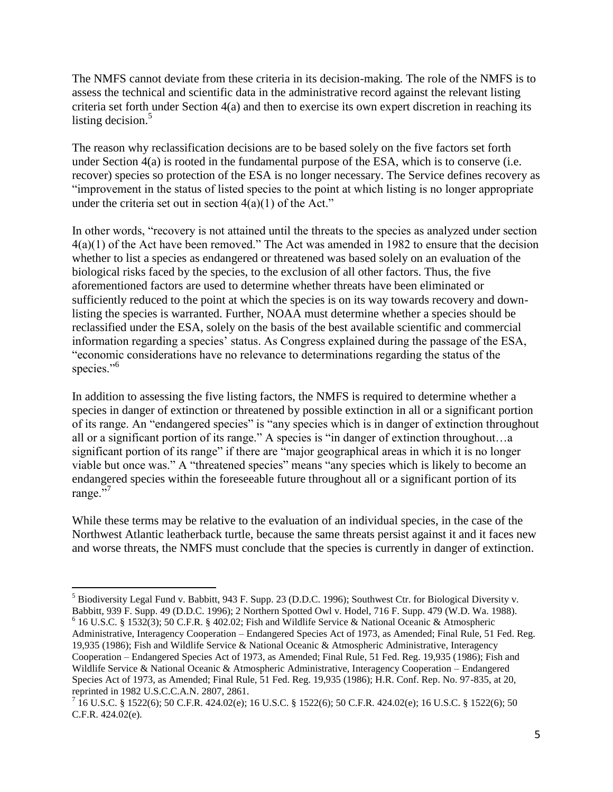The NMFS cannot deviate from these criteria in its decision-making. The role of the NMFS is to assess the technical and scientific data in the administrative record against the relevant listing criteria set forth under Section 4(a) and then to exercise its own expert discretion in reaching its listing decision. $5$ 

The reason why reclassification decisions are to be based solely on the five factors set forth under Section 4(a) is rooted in the fundamental purpose of the ESA, which is to conserve (i.e. recover) species so protection of the ESA is no longer necessary. The Service defines recovery as "improvement in the status of listed species to the point at which listing is no longer appropriate under the criteria set out in section  $4(a)(1)$  of the Act."

In other words, "recovery is not attained until the threats to the species as analyzed under section 4(a)(1) of the Act have been removed." The Act was amended in 1982 to ensure that the decision whether to list a species as endangered or threatened was based solely on an evaluation of the biological risks faced by the species, to the exclusion of all other factors. Thus, the five aforementioned factors are used to determine whether threats have been eliminated or sufficiently reduced to the point at which the species is on its way towards recovery and downlisting the species is warranted. Further, NOAA must determine whether a species should be reclassified under the ESA, solely on the basis of the best available scientific and commercial information regarding a species' status. As Congress explained during the passage of the ESA, "economic considerations have no relevance to determinations regarding the status of the species."<sup>6</sup>

In addition to assessing the five listing factors, the NMFS is required to determine whether a species in danger of extinction or threatened by possible extinction in all or a significant portion of its range. An "endangered species" is "any species which is in danger of extinction throughout all or a significant portion of its range." A species is "in danger of extinction throughout…a significant portion of its range" if there are "major geographical areas in which it is no longer viable but once was." A "threatened species" means "any species which is likely to become an endangered species within the foreseeable future throughout all or a significant portion of its range."<sup>7</sup>

While these terms may be relative to the evaluation of an individual species, in the case of the Northwest Atlantic leatherback turtle, because the same threats persist against it and it faces new and worse threats, the NMFS must conclude that the species is currently in danger of extinction.

 $\overline{a}$ 

 $<sup>5</sup>$  Biodiversity Legal Fund v. Babbitt, 943 F. Supp. 23 (D.D.C. 1996); Southwest Ctr. for Biological Diversity v.</sup> Babbitt, 939 F. Supp. 49 (D.D.C. 1996); 2 Northern Spotted Owl v. Hodel, 716 F. Supp. 479 (W.D. Wa. 1988).  $6$  16 U.S.C. § 1532(3); 50 C.F.R. § 402.02; Fish and Wildlife Service & National Oceanic & Atmospheric Administrative, Interagency Cooperation – Endangered Species Act of 1973, as Amended; Final Rule, 51 Fed. Reg. 19,935 (1986); Fish and Wildlife Service & National Oceanic & Atmospheric Administrative, Interagency Cooperation – Endangered Species Act of 1973, as Amended; Final Rule, 51 Fed. Reg. 19,935 (1986); Fish and Wildlife Service & National Oceanic & Atmospheric Administrative, Interagency Cooperation – Endangered Species Act of 1973, as Amended; Final Rule, 51 Fed. Reg. 19,935 (1986); H.R. Conf. Rep. No. 97-835, at 20,

reprinted in 1982 U.S.C.C.A.N. 2807, 2861.<br><sup>7</sup> 16 U.S.C. § 1522(6); 50 C.F.R. 424.02(e); 16 U.S.C. § 1522(6); 50 C.F.R. 424.02(e); 16 U.S.C. § 1522(6); 50 C.F.R. 424.02(e).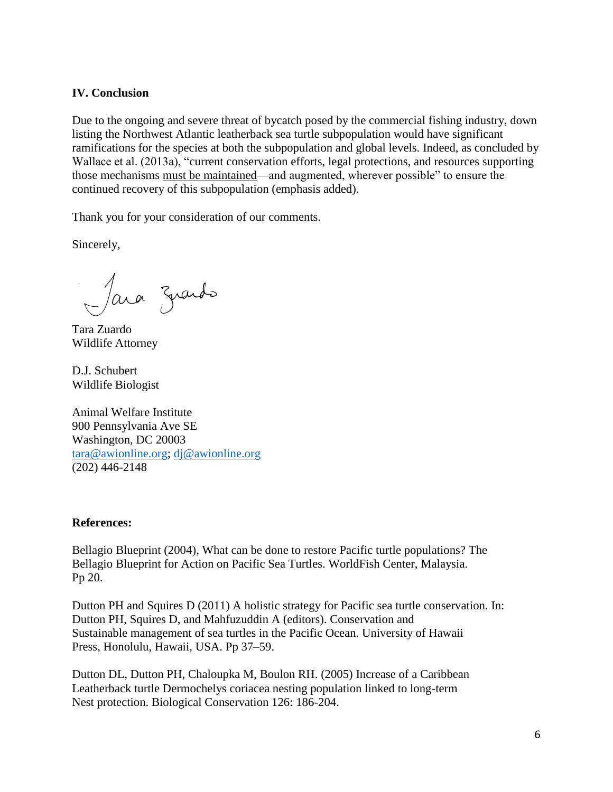### **IV. Conclusion**

Due to the ongoing and severe threat of bycatch posed by the commercial fishing industry, down listing the Northwest Atlantic leatherback sea turtle subpopulation would have significant ramifications for the species at both the subpopulation and global levels. Indeed, as concluded by Wallace et al. (2013a), "current conservation efforts, legal protections, and resources supporting those mechanisms must be maintained—and augmented, wherever possible" to ensure the continued recovery of this subpopulation (emphasis added).

Thank you for your consideration of our comments.

Sincerely,

Jara znards

Tara Zuardo Wildlife Attorney

D.J. Schubert Wildlife Biologist

Animal Welfare Institute 900 Pennsylvania Ave SE Washington, DC 20003 [tara@awionline.org;](mailto:tara@awionline.org) [dj@awionline.org](mailto:dj@awionline.org) (202) 446-2148

#### **References:**

Bellagio Blueprint (2004), What can be done to restore Pacific turtle populations? The Bellagio Blueprint for Action on Pacific Sea Turtles. WorldFish Center, Malaysia. Pp 20.

Dutton PH and Squires D (2011) A holistic strategy for Pacific sea turtle conservation. In: Dutton PH, Squires D, and Mahfuzuddin A (editors). Conservation and Sustainable management of sea turtles in the Pacific Ocean. University of Hawaii Press, Honolulu, Hawaii, USA. Pp 37–59.

Dutton DL, Dutton PH, Chaloupka M, Boulon RH. (2005) Increase of a Caribbean Leatherback turtle Dermochelys coriacea nesting population linked to long-term Nest protection. Biological Conservation 126: 186-204.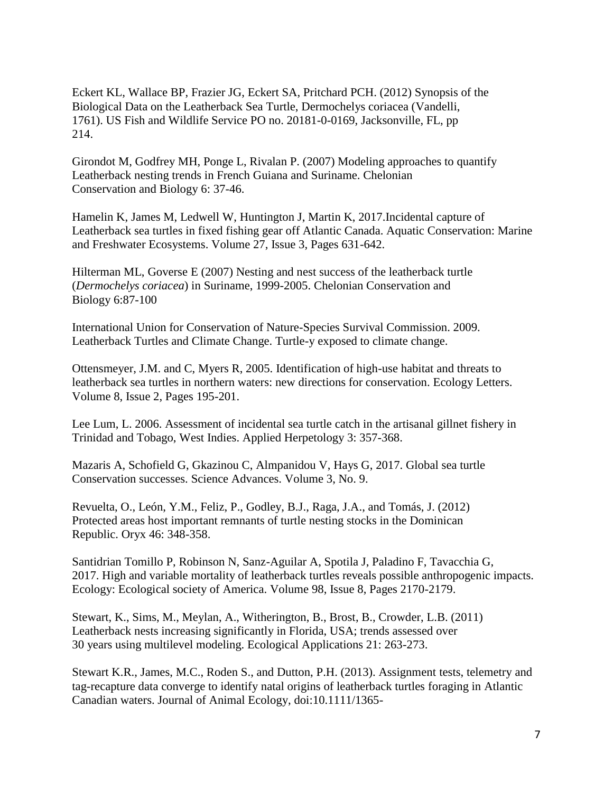Eckert KL, Wallace BP, Frazier JG, Eckert SA, Pritchard PCH. (2012) Synopsis of the Biological Data on the Leatherback Sea Turtle, Dermochelys coriacea (Vandelli, 1761). US Fish and Wildlife Service PO no. 20181-0-0169, Jacksonville, FL, pp 214.

Girondot M, Godfrey MH, Ponge L, Rivalan P. (2007) Modeling approaches to quantify Leatherback nesting trends in French Guiana and Suriname. Chelonian Conservation and Biology 6: 37-46.

Hamelin K, James M, Ledwell W, Huntington J, Martin K, 2017.Incidental capture of Leatherback sea turtles in fixed fishing gear off Atlantic Canada. Aquatic Conservation: Marine and Freshwater Ecosystems. Volume 27, Issue 3, Pages 631-642.

Hilterman ML, Goverse E (2007) Nesting and nest success of the leatherback turtle (*Dermochelys coriacea*) in Suriname, 1999-2005. Chelonian Conservation and Biology 6:87-100

International Union for Conservation of Nature-Species Survival Commission. 2009. Leatherback Turtles and Climate Change. Turtle-y exposed to climate change.

Ottensmeyer, J.M. and C, Myers R, 2005. Identification of high-use habitat and threats to leatherback sea turtles in northern waters: new directions for conservation. Ecology Letters. Volume 8, Issue 2, Pages 195-201.

Lee Lum, L. 2006. Assessment of incidental sea turtle catch in the artisanal gillnet fishery in Trinidad and Tobago, West Indies. Applied Herpetology 3: 357-368.

Mazaris A, Schofield G, Gkazinou C, Almpanidou V, Hays G, 2017. Global sea turtle Conservation successes. Science Advances. Volume 3, No. 9.

Revuelta, O., León, Y.M., Feliz, P., Godley, B.J., Raga, J.A., and Tomás, J. (2012) Protected areas host important remnants of turtle nesting stocks in the Dominican Republic. Oryx 46: 348-358.

Santidrian Tomillo P, Robinson N, Sanz-Aguilar A, Spotila J, Paladino F, Tavacchia G, 2017. High and variable mortality of leatherback turtles reveals possible anthropogenic impacts. Ecology: Ecological society of America. Volume 98, Issue 8, Pages 2170-2179.

Stewart, K., Sims, M., Meylan, A., Witherington, B., Brost, B., Crowder, L.B. (2011) Leatherback nests increasing significantly in Florida, USA; trends assessed over 30 years using multilevel modeling. Ecological Applications 21: 263-273.

Stewart K.R., James, M.C., Roden S., and Dutton, P.H. (2013). Assignment tests, telemetry and tag-recapture data converge to identify natal origins of leatherback turtles foraging in Atlantic Canadian waters. Journal of Animal Ecology, doi:10.1111/1365